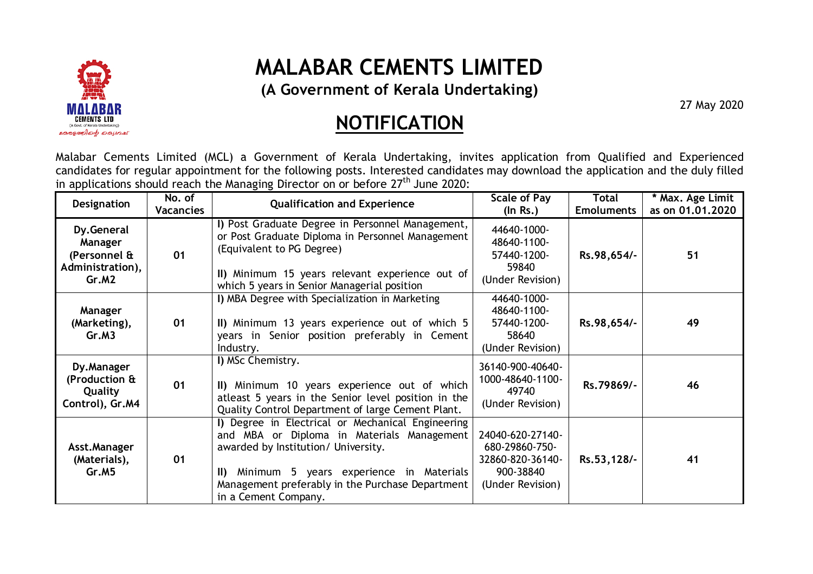

## **MALABAR CEMENTS LIMITED**

**(A Government of Kerala Undertaking)** 

27 May 2020

## **NOTIFICATION**

Malabar Cements Limited (MCL) a Government of Kerala Undertaking, invites application from Qualified and Experienced candidates for regular appointment for the following posts. Interested candidates may download the application and the duly filled in applications should reach the Managing Director on or before  $27<sup>th</sup>$  June 2020:

| Designation                                                        | No. of<br><b>Vacancies</b> | <b>Qualification and Experience</b>                                                                                                                                                                                                                                  | <b>Scale of Pay</b><br>$($ ln Rs. $)$                                                   | Total<br><b>Emoluments</b> | * Max. Age Limit<br>as on 01.01.2020 |
|--------------------------------------------------------------------|----------------------------|----------------------------------------------------------------------------------------------------------------------------------------------------------------------------------------------------------------------------------------------------------------------|-----------------------------------------------------------------------------------------|----------------------------|--------------------------------------|
| Dy.General<br>Manager<br>(Personnel &<br>Administration),<br>Gr.M2 | 01                         | I) Post Graduate Degree in Personnel Management,<br>or Post Graduate Diploma in Personnel Management<br>(Equivalent to PG Degree)<br>II) Minimum 15 years relevant experience out of<br>which 5 years in Senior Managerial position                                  | 44640-1000-<br>48640-1100-<br>57440-1200-<br>59840<br>(Under Revision)                  | Rs.98,654/-                | 51                                   |
| Manager<br>(Marketing),<br>Gr.M3                                   | 01                         | I) MBA Degree with Specialization in Marketing<br>II) Minimum 13 years experience out of which 5<br>years in Senior position preferably in Cement<br>Industry.                                                                                                       | 44640-1000-<br>48640-1100-<br>57440-1200-<br>58640<br>(Under Revision)                  | Rs.98,654/-                | 49                                   |
| Dy.Manager<br>(Production &<br>Quality<br>Control), Gr.M4          | 01                         | I) MSc Chemistry.<br>II) Minimum 10 years experience out of which<br>atleast 5 years in the Senior level position in the<br>Quality Control Department of large Cement Plant.                                                                                        | 36140-900-40640-<br>1000-48640-1100-<br>49740<br>(Under Revision)                       | Rs.79869/-                 | 46                                   |
| Asst.Manager<br>(Materials),<br>Gr.M5                              | 01                         | I) Degree in Electrical or Mechanical Engineering<br>and MBA or Diploma in Materials Management<br>awarded by Institution/ University.<br>Minimum 5 years experience in Materials<br>ID.<br>Management preferably in the Purchase Department<br>in a Cement Company. | 24040-620-27140-<br>680-29860-750-<br>32860-820-36140-<br>900-38840<br>(Under Revision) | Rs.53,128/-                | 41                                   |